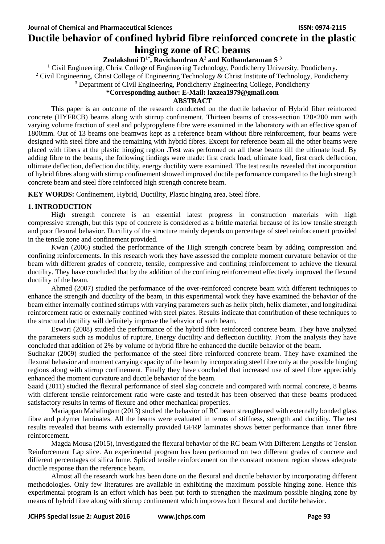# **Ductile behavior of confined hybrid fibre reinforced concrete in the plastic hinging zone of RC beams**

# **Zealakshmi D1\* , Ravichandran A<sup>2</sup> and Kothandaraman S <sup>3</sup>**

 $1$  Civil Engineering, Christ College of Engineering Technology, Pondicherry University, Pondicherry.

<sup>2</sup> Civil Engineering, Christ College of Engineering Technology & Christ Institute of Technology, Pondicherry

<sup>3</sup> Department of Civil Engineering, Pondicherry Engineering College, Pondicherry

#### **\*Corresponding author: E-Mail: laxzea1979@gmail.com**

### **ABSTRACT**

This paper is an outcome of the research conducted on the ductile behavior of Hybrid fiber reinforced concrete (HYFRCB) beams along with stirrup confinement. Thirteen beams of cross-section 120×200 mm with varying volume fraction of steel and polypropylene fibre were examined in the laboratory with an effective span of 1800mm. Out of 13 beams one beamwas kept as a reference beam without fibre reinforcement, four beams were designed with steel fibre and the remaining with hybrid fibres. Except for reference beam all the other beams were placed with fibers at the plastic hinging region .Test was performed on all these beams till the ultimate load. By adding fibre to the beams, the following findings were made: first crack load, ultimate load, first crack deflection, ultimate deflection, deflection ductility, energy ductility were examined. The test results revealed that incorporation of hybrid fibres along with stirrup confinement showed improved ductile performance compared to the high strength concrete beam and steel fibre reinforced high strength concrete beam.

**KEY WORDS:** Confinement, Hybrid, Ductility, Plastic hinging area, Steel fibre.

### **1. INTRODUCTION**

High strength concrete is an essential latest progress in construction materials with high compressive strength, but this type of concrete is considered as a brittle material because of its low tensile strength and poor flexural behavior. Ductility of the structure mainly depends on percentage of steel reinforcement provided in the tensile zone and confinement provided.

Kwan (2006) studied the performance of the High strength concrete beam by adding compression and confining reinforcements. In this research work they have assessed the complete moment curvature behavior of the beam with different grades of concrete, tensile, compressive and confining reinforcement to achieve the flexural ductility. They have concluded that by the addition of the confining reinforcement effectively improved the flexural ductility of the beam.

Ahmed (2007) studied the performance of the over-reinforced concrete beam with different techniques to enhance the strength and ductility of the beam, in this experimental work they have examined the behavior of the beam either internally confined stirrups with varying parameters such as helix pitch, helix diameter, and longitudinal reinforcement ratio or externally confined with steel plates. Results indicate that contribution of these techniques to the structural ductility will definitely improve the behavior of such beam.

Eswari (2008) studied the performance of the hybrid fibre reinforced concrete beam. They have analyzed the parameters such as modulus of rupture, Energy ductility and deflection ductility. From the analysis they have concluded that addition of 2% by volume of hybrid fibre he enhanced the ductile behavior of the beam.

Sudhakar (2009) studied the performance of the steel fibre reinforced concrete beam. They have examined the flexural behavior and moment carrying capacity of the beam by incorporating steel fibre only at the possible hinging regions along with stirrup confinement. Finally they have concluded that increased use of steel fibre appreciably enhanced the moment curvature and ductile behavior of the beam.

Saaid (2011) studied the flexural performance of steel slag concrete and compared with normal concrete, 8 beams with different tensile reinforcement ratio were caste and tested.it has been observed that these beams produced satisfactory results in terms of flexure and other mechanical properties.

Mariappan Mahalingam (2013) studied the behavior of RC beam strengthened with externally bonded glass fibre and polymer laminates. All the beams were evaluated in terms of stiffness, strength and ductility. The test results revealed that beams with externally provided GFRP laminates shows better performance than inner fibre reinforcement.

Magda Mousa (2015), investigated the flexural behavior of the RC beam With Different Lengths of Tension Reinforcement Lap slice. An experimental program has been performed on two different grades of concrete and different percentages of silica fume. Spliced tensile reinforcement on the constant moment region shows adequate ductile response than the reference beam.

Almost all the research work has been done on the flexural and ductile behavior by incorporating different methodologies. Only few literatures are available in exhibiting the maximum possible hinging zone. Hence this experimental program is an effort which has been put forth to strengthen the maximum possible hinging zone by means of hybrid fibre along with stirrup confinement which improves both flexural and ductile behavior.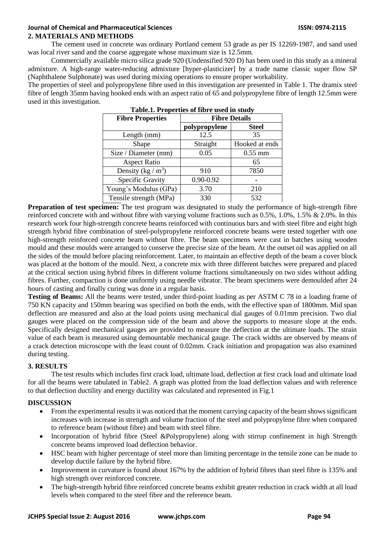# **Journal of Chemical and Pharmaceutical Sciences ISSN: 0974-2115 2. MATERIALS AND METHODS**

The cement used in concrete was ordinary Portland cement 53 grade as per IS 12269-1987, and sand used was local river sand and the coarse aggregate whose maximum size is 12.5mm.

Commercially available micro silica grade 920 (Undensified 920 D) has been used in this study as a mineral admixture. A high-range water-reducing admixture [hyper-plasticizer] by a trade name classic super flow SP (Naphthalene Sulphonate) was used during mixing operations to ensure proper workability.

The properties of steel and polypropylene fibre used in this investigation are presented in Table 1. The dramix steel fibre of length 35mm having hooked ends with an aspect ratio of 65 and polypropylene fibre of length 12.5mm were used in this investigation.

| <b>Fibre Properties</b> | <b>Fibre Details</b> |                |  |  |  |  |
|-------------------------|----------------------|----------------|--|--|--|--|
|                         | polypropylene        | <b>Steel</b>   |  |  |  |  |
| Length (mm)             | 12.5                 | 35             |  |  |  |  |
| Shape                   | Straight             | Hooked at ends |  |  |  |  |
| Size / Diameter (mm)    | 0.05                 | $0.55$ mm      |  |  |  |  |
| <b>Aspect Ratio</b>     |                      | 65             |  |  |  |  |
| Density (kg / $m^3$ )   | 910                  | 7850           |  |  |  |  |
| Specific Gravity        | 0.90-0.92            |                |  |  |  |  |
| Young's Modulus (GPa)   | 3.70                 | 210            |  |  |  |  |
| Tensile strength (MPa)  | 330                  | 532            |  |  |  |  |

| Table.1. Properties of fibre used in study |  |  |  |  |
|--------------------------------------------|--|--|--|--|
|                                            |  |  |  |  |

**Preparation of test specimen:** The test program was designated to study the performance of high-strength fibre reinforced concrete with and without fibre with varying volume fractions such as 0.5%, 1.0%, 1.5% & 2.0%. In this research work four high-strength concrete beams reinforced with continuous bars and with steel fibre and eight high strength hybrid fibre combination of steel-polypropylene reinforced concrete beams were tested together with one high-strength reinforced concrete beam without fibre. The beam specimens were cast in batches using wooden mould and these moulds were arranged to conserve the precise size of the beam. At the outset oil was applied on all the sides of the mould before placing reinforcement. Later, to maintain an effective depth of the beam a cover block was placed at the bottom of the mould. Next, a concrete mix with three different batches were prepared and placed at the critical section using hybrid fibres in different volume fractions simultaneously on two sides without adding fibres. Further, compaction is done uniformly using needle vibrator. The beam specimens were demoulded after 24 hours of casting and finally curing was done in a regular basis.

**Testing of Beams:** All the beams were tested, under third-point loading as per ASTM C 78 in a loading frame of 750 KN capacity and 150mm bearing was specified on both the ends, with the effective span of 1800mm. Mid span deflection are measured and also at the load points using mechanical dial gauges of 0.01mm precision. Two dial gauges were placed on the compression side of the beam and above the supports to measure slope at the ends. Specifically designed mechanical gauges are provided to measure the deflection at the ultimate loads. The strain value of each beam is measured using demountable mechanical gauge. The crack widths are observed by means of a crack detection microscope with the least count of 0.02mm. Crack initiation and propagation was also examined during testing.

# **3. RESULTS**

The test results which includes first crack load, ultimate load, deflection at first crack load and ultimate load for all the beams were tabulated in Table2. A graph was plotted from the load deflection values and with reference to that deflection ductility and energy ductility was calculated and represented in Fig.1

# **DISCUSSION**

- From the experimental results it was noticed that the moment carrying capacity of the beam shows significant increases with increase in strength and volume fraction of the steel and polypropylene fibre when compared to reference beam (without fibre) and beam with steel fibre.
- Incorporation of hybrid fibre (Steel &Polypropylene) along with stirrup confinement in high Strength concrete beams improved load deflection behavior.
- HSC beam with higher percentage of steel more than limiting percentage in the tensile zone can be made to develop ductile failure by the hybrid fibre.
- Improvement in curvature is found about 167% by the addition of hybrid fibres than steel fibre is 135% and high strength over reinforced concrete.
- The high-strength hybrid fibre reinforced concrete beams exhibit greater reduction in crack width at all load levels when compared to the steel fibre and the reference beam.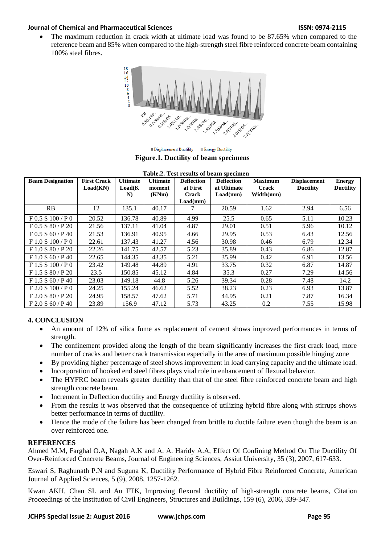## **Journal of Chemical and Pharmaceutical Sciences ISSN: 0974-2115**

 The maximum reduction in crack width at ultimate load was found to be 87.65% when compared to the reference beam and 85% when compared to the high-strength steel fibre reinforced concrete beam containing 100% steel fibres.



Displacement Ductility Denergy Ductility

**Figure.1. Ductility of beam specimens**

| Table.2. Test results of beam specimen |                    |                 |                 |                   |                   |                |                     |                  |
|----------------------------------------|--------------------|-----------------|-----------------|-------------------|-------------------|----------------|---------------------|------------------|
| <b>Beam Designation</b>                | <b>First Crack</b> | <b>Ultimate</b> | <b>Ultimate</b> | <b>Deflection</b> | <b>Deflection</b> | <b>Maximum</b> | <b>Displacement</b> | <b>Energy</b>    |
|                                        | Load(KN)           | Load(K)         | moment          | at First          | at Ultimate       | <b>Crack</b>   | <b>Ductility</b>    | <b>Ductility</b> |
|                                        |                    | N)              | (KNm)           | Crack             | Load(mm)          | Width(mm)      |                     |                  |
|                                        |                    |                 |                 | Load(mm)          |                   |                |                     |                  |
| RB                                     | 12                 | 135.1           | 40.17           |                   | 20.59             | 1.62           | 2.94                | 6.56             |
| F 0.5 S 100 / P 0                      | 20.52              | 136.78          | 40.89           | 4.99              | 25.5              | 0.65           | 5.11                | 10.23            |
| F 0.5 S 80 / P 20                      | 21.56              | 137.11          | 41.04           | 4.87              | 29.01             | 0.51           | 5.96                | 10.12            |
| $F$ 0.5 S 60 / P 40                    | 21.53              | 136.91          | 40.95           | 4.66              | 29.95             | 0.53           | 6.43                | 12.56            |
| F 1.0 S 100 / P 0                      | 22.61              | 137.43          | 41.27           | 4.56              | 30.98             | 0.46           | 6.79                | 12.34            |
| F1.0 S80/P20                           | 22.26              | 141.75          | 42.57           | 5.23              | 35.89             | 0.43           | 6.86                | 12.87            |
| F 1.0 S 60 / P 40                      | 22.65              | 144.35          | 43.35           | 5.21              | 35.99             | 0.42           | 6.91                | 13.56            |
| F1.5 S100 / P0                         | 23.42              | 149.48          | 44.89           | 4.91              | 33.75             | 0.32           | 6.87                | 14.87            |
| F1.5 S80/P20                           | 23.5               | 150.85          | 45.12           | 4.84              | 35.3              | 0.27           | 7.29                | 14.56            |
| F 1.5 S 60 / P 40                      | 23.03              | 149.18          | 44.8            | 5.26              | 39.34             | 0.28           | 7.48                | 14.2             |
| F 2.0 S 100 / P 0                      | 24.25              | 155.24          | 46.62           | 5.52              | 38.23             | 0.23           | 6.93                | 13.87            |
| F 2.0 S 80 / P 20                      | 24.95              | 158.57          | 47.62           | 5.71              | 44.95             | 0.21           | 7.87                | 16.34            |
| F 2.0 S 60 / P 40                      | 23.89              | 156.9           | 47.12           | 5.73              | 43.25             | 0.2            | 7.55                | 15.98            |

# **4. CONCLUSION**

- An amount of 12% of silica fume as replacement of cement shows improved performances in terms of strength.
- The confinement provided along the length of the beam significantly increases the first crack load, more number of cracks and better crack transmission especially in the area of maximum possible hinging zone
- By providing higher percentage of steel shows improvement in load carrying capacity and the ultimate load.
- Incorporation of hooked end steel fibres plays vital role in enhancement of flexural behavior.
- The HYFRC beam reveals greater ductility than that of the steel fibre reinforced concrete beam and high strength concrete beam.
- Increment in Deflection ductility and Energy ductility is observed.
- From the results it was observed that the consequence of utilizing hybrid fibre along with stirrups shows better performance in terms of ductility.
- Hence the mode of the failure has been changed from brittle to ductile failure even though the beam is an over reinforced one.

### **REFERENCES**

Ahmed M.M, Farghal O.A, Nagah A.K and A. A. Haridy A.A, Effect Of Confining Method On The Ductility Of Over-Reinforced Concrete Beams, Journal of Engineering Sciences, Assiut University, 35 (3), 2007, 617-633.

Eswari S, Raghunath P.N and Suguna K, Ductility Performance of Hybrid Fibre Reinforced Concrete, American Journal of Applied Sciences, 5 (9), 2008, 1257-1262.

Kwan AKH, Chau SL and Au FTK, Improving flexural ductility of high-strength concrete beams, Citation Proceedings of the Institution of Civil Engineers, Structures and Buildings, 159 (6), 2006, 339-347.